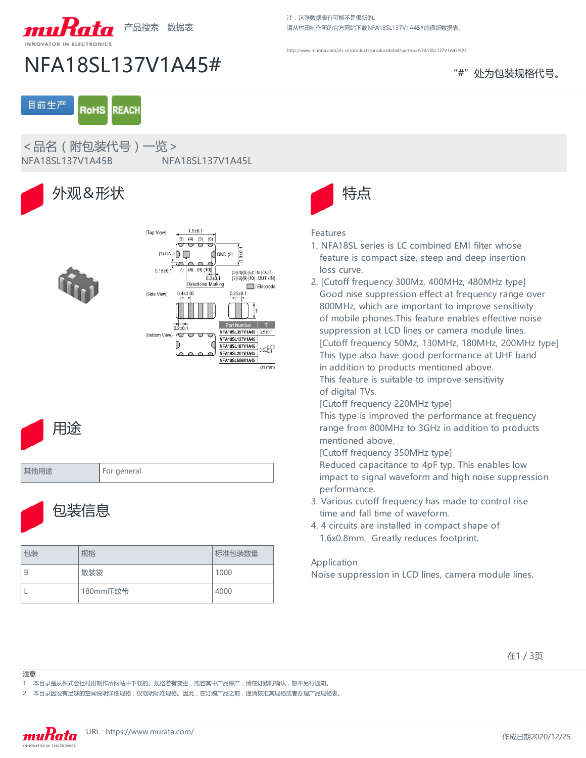

NFA18SL137V1A45# "#"处为包装规格代号。

注:这张数据表有可能不是很新的。

请从村田制作所的官方网站下载NFA18SL137V1A45#的很新数据表。

ww.murata.com/zh-cn/products/productdetail?partno=NFA18SL137V1A45%23

目前生产 **RoHS REACH** 

<品名(附包装代号)一览>

NFA18SL137V1A45B NFA18SL137V1A45L







| 且11대 | For general |
|------|-------------|
|      |             |



| 包装 | 规格       | 标准包装数量 |
|----|----------|--------|
| B  | 散装袋      | 1000   |
|    | 180mm压纹带 | 4000   |



### Features

- 1. NFA18SL series is LC combined EMI filter whose feature is compact size, steep and deep insertion loss curve.
- 2. [Cutoff frequency 300Mz, 400MHz, 480MHz type] Good nise suppression effect at frequency range over 800MHz, which are important to improve sensitivity of mobile phones.This feature enables effective noise suppression at LCD lines or camera module lines. [Cutoff frequency 50Mz, 130MHz, 180MHz, 200MHz type] This type also have good performance at UHF band in addition to products mentioned above. This feature is suitable to improve sensitivity of digital TVs.

[Cutoff frequency 220MHz type]

This type is improved the performance at frequency range from 800MHz to 3GHz in addition to products mentioned above.

[Cutoff frequency 350MHz type]

Reduced capacitance to 4pF typ. This enables low impact to signal waveform and high noise suppression performance.

- 3. Various cutoff frequency has made to control rise time and fall time of waveform.
- 4. 4 circuits are installed in compact shape of 1.6x0.8mm. Greatly reduces footprint.

## Application

Noise suppression in LCD lines, camera module lines.

**注意**

1. 本目录是从株式会社村田制作所网站中下载的。规格若有变更,或若其中产品停产,请在订购时确认,恕不另行通知。

2. 本目录因没有足够的空间说明详细规格,仅载明标准规格。因此,在订购产品之前,谨请核准其规格或者办理产品规格表。



在1 / 3页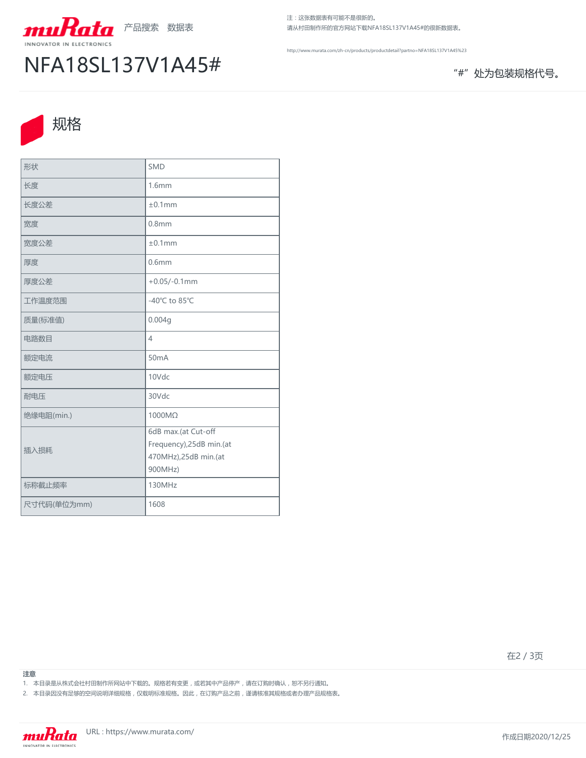

# NFA18SL137V1A45# "#"处为包装规格代号。

注:这张数据表有可能不是很新的。 请从村田制作所的官方网站下载NFA18SL137V1A45#的很新数据表。

<http://www.murata.com/zh-cn/products/productdetail?partno=NFA18SL137V1A45%23>



| 形状          | <b>SMD</b>                                                                         |
|-------------|------------------------------------------------------------------------------------|
| 长度          | 1.6mm                                                                              |
| 长度公差        | ±0.1mm                                                                             |
| 宽度          | 0.8 <sub>mm</sub>                                                                  |
| 宽度公差        | ±0.1mm                                                                             |
| 厚度          | 0.6 <sub>mm</sub>                                                                  |
| 厚度公差        | $+0.05/-0.1$ mm                                                                    |
| 工作温度范围      | -40°C to 85°C                                                                      |
| 质量(标准值)     | 0.004g                                                                             |
| 电路数目        | 4                                                                                  |
| 额定电流        | 50 <sub>m</sub> A                                                                  |
| 额定电压        | 10Vdc                                                                              |
| 耐电压         | 30Vdc                                                                              |
| 绝缘电阻(min.)  | 1000MΩ                                                                             |
| 插入损耗        | 6dB max.(at Cut-off<br>Frequency), 25dB min.(at<br>470MHz),25dB min.(at<br>900MHz) |
| 标称截止频率      | 130MHz                                                                             |
| 尺寸代码(单位为mm) | 1608                                                                               |

在2 / 3页

**注意**

- 1. 本目录是从株式会社村田制作所网站中下载的。规格若有变更,或若其中产品停产,请在订购时确认,恕不另行通知。
- 2. 本目录因没有足够的空间说明详细规格,仅载明标准规格。因此,在订购产品之前,谨请核准其规格或者办理产品规格表。